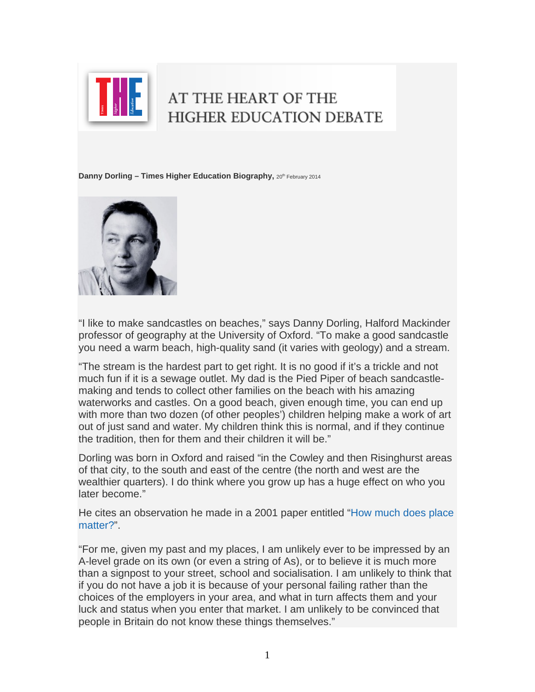

## AT THE HEART OF THE **HIGHER EDUCATION DEBATE**

**Danny Dorling – Times Higher Education Biography, 20<sup>th</sup> February 2014** 



"I like to make sandcastles on beaches," says Danny Dorling, Halford Mackinder professor of geography at the University of Oxford. "To make a good sandcastle you need a warm beach, high-quality sand (it varies with geology) and a stream.

"The stream is the hardest part to get right. It is no good if it's a trickle and not much fun if it is a sewage outlet. My dad is the Pied Piper of beach sandcastlemaking and tends to collect other families on the beach with his amazing waterworks and castles. On a good beach, given enough time, you can end up with more than two dozen (of other peoples') children helping make a work of art out of just sand and water. My children think this is normal, and if they continue the tradition, then for them and their children it will be."

Dorling was born in Oxford and raised "in the Cowley and then Risinghurst areas of that city, to the south and east of the centre (the north and west are the wealthier quarters). I do think where you grow up has a huge effect on who you later become."

He cites an observation he made in a 2001 paper entitled "[How much does place](http://www.dannydorling.org/wp-content/files/dannydorling_publication_id1649.pdf)  [matter?"](http://www.dannydorling.org/wp-content/files/dannydorling_publication_id1649.pdf).

"For me, given my past and my places, I am unlikely ever to be impressed by an A-level grade on its own (or even a string of As), or to believe it is much more than a signpost to your street, school and socialisation. I am unlikely to think that if you do not have a job it is because of your personal failing rather than the choices of the employers in your area, and what in turn affects them and your luck and status when you enter that market. I am unlikely to be convinced that people in Britain do not know these things themselves."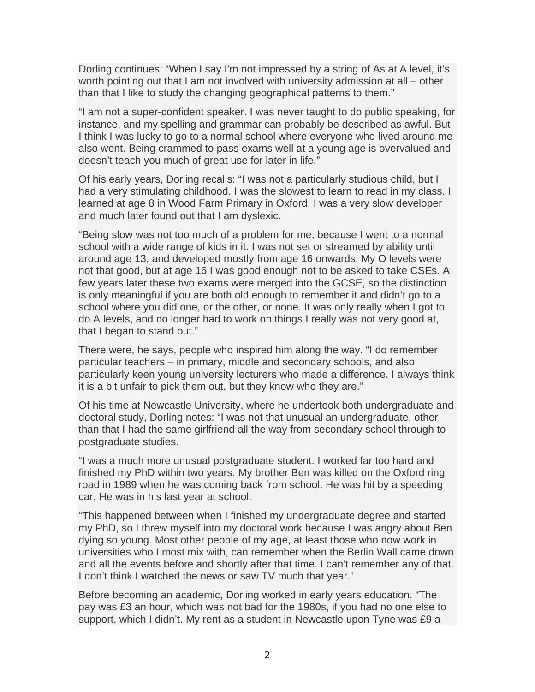Dorling continues: "When I say I'm not impressed by a string of As at A level, it's worth pointing out that I am not involved with university admission at all – other than that I like to study the changing geographical patterns to them."

"I am not a super-confident speaker. I was never taught to do public speaking, for instance, and my spelling and grammar can probably be described as awful. But I think I was lucky to go to a normal school where everyone who lived around me also went. Being crammed to pass exams well at a young age is overvalued and doesn't teach you much of great use for later in life."

Of his early years, Dorling recalls: "I was not a particularly studious child, but I had a very stimulating childhood. I was the slowest to learn to read in my class. I learned at age 8 in Wood Farm Primary in Oxford. I was a very slow developer and much later found out that I am dyslexic.

"Being slow was not too much of a problem for me, because I went to a normal school with a wide range of kids in it. I was not set or streamed by ability until around age 13, and developed mostly from age 16 onwards. My O levels were not that good, but at age 16 I was good enough not to be asked to take CSEs. A few years later these two exams were merged into the GCSE, so the distinction is only meaningful if you are both old enough to remember it and didn't go to a school where you did one, or the other, or none. It was only really when I got to do A levels, and no longer had to work on things I really was not very good at, that I began to stand out."

There were, he says, people who inspired him along the way. "I do remember particular teachers – in primary, middle and secondary schools, and also particularly keen young university lecturers who made a difference. I always think it is a bit unfair to pick them out, but they know who they are."

Of his time at Newcastle University, where he undertook both undergraduate and doctoral study, Dorling notes: "I was not that unusual an undergraduate, other than that I had the same girlfriend all the way from secondary school through to postgraduate studies.

"I was a much more unusual postgraduate student. I worked far too hard and finished my PhD within two years. My brother Ben was killed on the Oxford ring road in 1989 when he was coming back from school. He was hit by a speeding car. He was in his last year at school.

"This happened between when I finished my undergraduate degree and started my PhD, so I threw myself into my doctoral work because I was angry about Ben dying so young. Most other people of my age, at least those who now work in universities who I most mix with, can remember when the Berlin Wall came down and all the events before and shortly after that time. I can't remember any of that. I don't think I watched the news or saw TV much that year."

Before becoming an academic, Dorling worked in early years education. "The pay was £3 an hour, which was not bad for the 1980s, if you had no one else to support, which I didn't. My rent as a student in Newcastle upon Tyne was £9 a